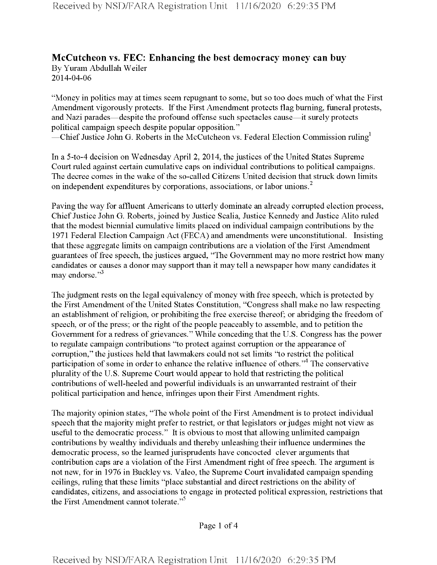## **McCutcheon vs. FEC: Enhancing the best democracy money can buy** By Yuram Abdullah Weiler 2014-04-06

"Money in politics may at times seem repugnant to some, but so too does much ofwhat the First Amendment vigorously protects. If the First Amendment protects flag burning, funeral protests, and Nazi parades—despite the profound offense such spectacles cause—it surely protects political campaign speech despite popular opposition." —Chief Justice John G. Roberts in the McCutcheon vs. Federal Election Commission ruling<sup>1</sup>

In a 5-to-4 decision on Wednesday April 2, 2014, the justices of the United States Supreme Court ruled against certain cumulative caps on individual contributions to political campaigns. The decree comes in the wake of the so-called Citizens United decision that struck down limits on independent expenditures by corporations, associations, or labor unions.<sup>2</sup>

Paving the way for affluent Americans to utterly dominate an already corrupted election process, Chief Justice John G. Roberts, joined by Justice Scalia, Justice Kennedy and Justice Alito ruled that the modest biennial cumulative limits placed on individual campaign contributions by the 1971 Federal Election Campaign Act (FECA) and amendments were unconstitutional. Insisting that these aggregate limits on campaign contributions are a violation of the First Amendment guarantees of free speech, the justices argued, "The Government may no more restrict how many candidates or causes a donor may support than it may tell a newspaper how many candidates it may endorse."<sup>3</sup>

The judgment rests on the legal equivalency of money with free speech, which is protected by the First Amendment of the United States Constitution, "Congress shall make no law respecting an establishment of religion, or prohibiting the free exercise thereof; or abridging the freedom of speech, or of the press; or the right of the people peaceably to assemble, and to petition the Government for a redress of grievances." While conceding that the U.S. Congress has the power to regulate campaign contributions "to protect against corruption or the appearance of corruption," the justices held that lawmakers could not set limits "to restrict the political participation of some in order to enhance the relative influence of others."<sup>4</sup> The conservative plurality of the U.S. Supreme Court would appear to hold that restricting the political contributions of well-heeled and powerful individuals is an unwarranted restraint of their political participation and hence, infringes upon their First Amendment rights.

The majority opinion states, "The whole point of the First Amendment is to protect individual speech that the majority might prefer to restrict, or that legislators or judges might not view as useful to the democratic process." It is obvious to most that allowing unlimited campaign contributions by wealthy individuals and thereby unleashing their influence undermines the democratic process, so the learned jurisprudents have concocted clever arguments that contribution caps are a violation of the First Amendment right of free speech. The argument is not new, for in 1976 in Buckley vs. Valeo, the Supreme Court invalidated campaign spending ceilings, ruling that these limits "place substantial and direct restrictions on the ability of candidates, citizens, and associations to engage in protected political expression, restrictions that the First Amendment cannot tolerate."<sup>5</sup>

Page <sup>1</sup> of 4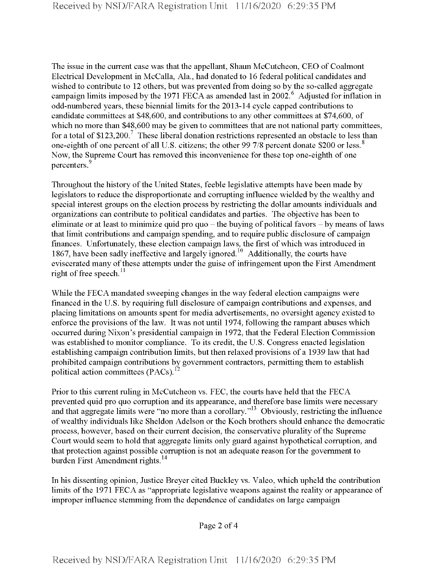The issue in the current case was that the appellant, Shaun McCutcheon, CEO of Coalmont Electrical Development in McCalla, Ala., had donated to 16 federal political candidates and wished to contribute to 12 others, but was prevented from doing so by the so-called aggregate campaign limits imposed by the 1971 FECA as amended last in 2002.<sup>6</sup> Adjusted for inflation in odd-numbered years, these biennial limits for the 2013-14 cycle capped contributions to candidate committees at \$48,600, and contributions to any other committees at \$74,600, of which no more than \$48,600 may be given to committees that are not national party committees, for a total of  $$123,200$ .<sup>7</sup> These liberal donation restrictions represented an obstacle to less than one-eighth of one percent of all U.S. citizens; the other 99 7/8 percent donate \$200 or less.<sup>8</sup> Now, the Supreme Court has removed this inconvenience for these top one-eighth of one percenters.<sup>9</sup>

Throughout the history of the United States, feeble legislative attempts have been made by legislators to reduce the disproportionate and corrupting influence wielded by the wealthy and special interest groups on the election process by restricting the dollar amounts individuals and organizations can contribute to political candidates and parties. The objective has been to eliminate or at least to minimize quid pro quo – the buying of political favors – by means of laws that limit contributions and campaign spending, and to require public disclosure of campaign finances. Unfortunately, these election campaign laws, the first of which was introduced in 1867, have been sadly ineffective and largely ignored.<sup>10</sup> Additionally, the courts have eviscerated many of these attempts under the guise of infringement upon the First Amendment right of free speech. $^{11}$ 

While the FECA mandated sweeping changes in the way federal election campaigns were financed in the U.S. by requiring full disclosure of campaign contributions and expenses, and placing limitations on amounts spent for media advertisements, no oversight agency existed to enforce the provisions of the law. It was not until 1974, following the rampant abuses which occurred during Nixon's presidential campaign in 1972, that the Federal Election Commission was established to monitor compliance. To its credit, the U.S. Congress enacted legislation establishing campaign contribution limits, but then relaxed provisions of a 1939 law that had prohibited campaign contributions by government contractors, permitting them to establish political action committees (PACs).<sup>12</sup>

Prior to this current ruling in McCutcheon vs. FEC, the courts have held that the FECA prevented quid pro quo corruption and its appearance, and therefore base limits were necessary and that aggregate limits were "no more than a corollary."13 Obviously, restricting the influence of wealthy individuals like Sheldon Adelson or the Koch brothers should enhance the democratic process, however, based on their current decision, the conservative plurality ofthe Supreme Court would seem to hold that aggregate limits only guard against hypothetical corruption, and that protection against possible corruption is not an adequate reason for the government to burden First Amendment rights.<sup>14</sup>

In his dissenting opinion, Justice Breyer cited Buckley vs. Valeo, which upheld the contribution limits of the 1971 FECA as "appropriate legislative weapons against the reality or appearance of improper influence stemming from the dependence of candidates on large campaign

Page 2 of 4

Received by NSD/FARA Registration Unit 11/16/2020 6:29:35 PM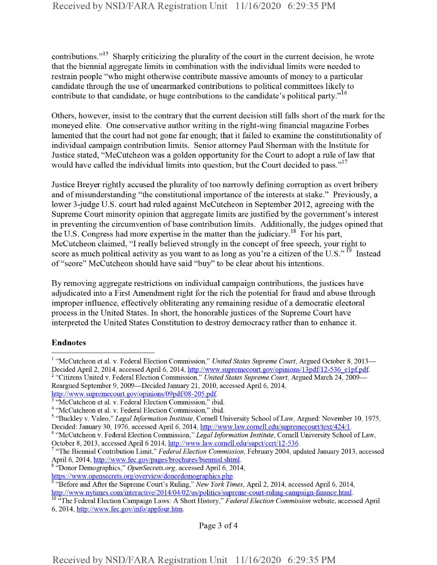contributions."<sup>15</sup> Sharply criticizing the plurality of the court in the current decision, he wrote that the biennial aggregate limits in combination with the individual limits were needed to restrain people "who might otherwise contribute massive amounts of money to a particular candidate through the use of unearmarked contributions to political committees likely to contribute to that candidate, or huge contributions to the candidate's political party."<sup>16</sup>

Others, however, insist to the contrary that the current decision still falls short of the mark for the moneyed elite. One conservative author writing in the right-wing financial magazine Forbes lamented that the court had not gone far enough; that it failed to examine the constitutionality of individual campaign contribution limits. Senior attorney Paul Sherman with the Institute for Justice stated, "McCutcheon was a golden opportunity for the Court to adopt a rule oflaw that would have called the individual limits into question, but the Court decided to pass."<sup>17</sup>

Justice Breyer rightly accused the plurality of too narrowly defining corruption as overt bribery and of misunderstanding "the constitutional importance of the interests at stake." Previously, a lower 3-judge U.S. court had ruled against McCutcheon in September 2012, agreeing with the Supreme Court minority opinion that aggregate limits are justified by the government's interest in preventing the circumvention of base contribution limits. Additionally, the judges opined that the U.S. Congress had more expertise in the matter than the judiciary.<sup>18</sup> For his part, McCutcheon claimed, "I really believed strongly in the concept of free speech, your right to score as much political activity as you want to as long as you're a citizen of the U.S."<sup>19</sup> Instead of"score" McCutcheon should have said "buy" to be clear about his intentions.

By removing aggregate restrictions on individual campaign contributions, the justices have adjudicated into a First Amendment right for the rich the potential for fraud and abuse through improper influence, effectively obliterating any remaining residue of a democratic electoral process in the United States. In short, the honorable justices of the Supreme Court have interpreted the United States Constitution to destroy democracy rather than to enhance it.

## Endnotes

Page 3 of 4

<sup>1</sup> "McCutcheon et al. v. Federal Election Commission," *United States Supreme Court,* Argued October 8, 2013— Decided April 2, 2014, accessed April 6, 2014, http://www.supremecourt.gov/opinions/13pdf/12-536\_e1 pf.pdf. <sup>2</sup> "Citizens United v. Federal Election Commission," *United States Supreme Court*, Argued March 24, 2009—

Reargued September 9, 2009—Decided January 21, 2010, accessed April 6, 2014, http://www.supremecourt.gov/opmions/09pdf/08-205.pdf.

<sup>&</sup>lt;sup>3</sup> "McCutcheon et al. v. Federal Election Commission," ibid.

<sup>4</sup> "McCutcheon et al. v. Federal Election Commission," ibid.

<sup>5</sup> "Buckley v. Valeo," *Legal Information Institute,* Cornell University School ofLaw, Argued: November 10, 1975, Decided: January 30, 1976, accessed April 6, 2014, http://www.law.cornell.edu/supremecourt/text/424/1.

<sup>6</sup> "McCutcheon v. Federal Election Commission," *Legal Information Institute,* Cornell University School ofLaw, October 8, 2013, accessed April 6 2014, http://www.law.cornell.edu/supct/cert/12-536.

<sup>7</sup> "The Biennial Contribution Limit," *Federal Election Commission,* February 2004, updated January 2013, accessed April 6, 2014, http://www.fee.gov/pages/brochures/biennial.shtml.

<sup>s</sup> "Donor Demographics," *OpenSecrets.org,* accessed April 6, 2014,

https://www.opensecrets.org/overview/ donordemographics.php.

<sup>9</sup> "Before and After the Supreme Court's Ruling," *New York Times,* April 2, 2014, accessed April 6, 2014, http://www.nvtnnes.com/interactive/2014/04/02/us/politics/supreme-court-rulmg-campaign-fmance.html.

<sup>10</sup> "The Federal Election Campaign Laws: A Short History," *Federal Election Commission* website, accessed April 6, 2014, http://www.fee.gov/info/appfour.htm.